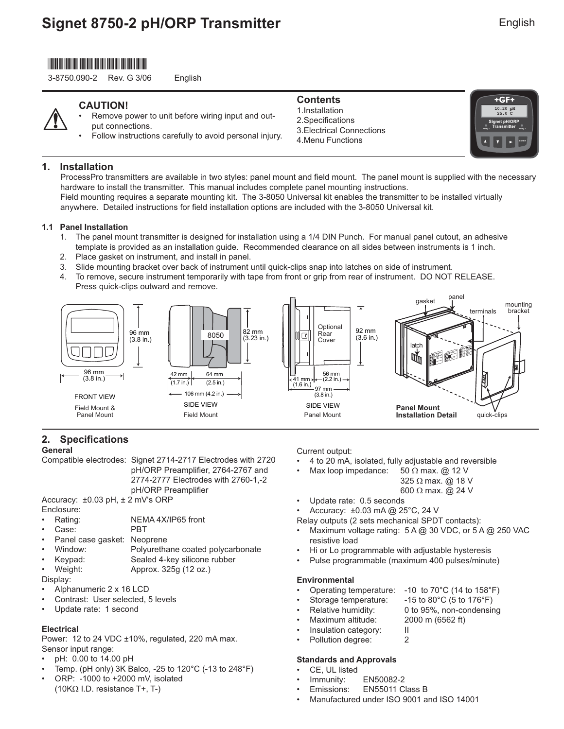## \*3-8759.090-2\*

3-8750.090-2 Rev. G 3/06 English

## **CAUTION!**

- Remove power to unit before wiring input and output connections.
- Follow instructions carefully to avoid personal injury.

### **Contents**

1.Installation 2.Specifications 3.Electrical Connections 4.Menu Functions



### **1. Installation**

ProcessPro transmitters are available in two styles: panel mount and field mount. The panel mount is supplied with the necessary hardware to install the transmitter. This manual includes complete panel mounting instructions. Field mounting requires a separate mounting kit. The 3-8050 Universal kit enables the transmitter to be installed virtually anywhere. Detailed instructions for field installation options are included with the 3-8050 Universal kit.

### **1.1 Panel Installation**

- 1. The panel mount transmitter is designed for installation using a 1/4 DIN Punch. For manual panel cutout, an adhesive template is provided as an installation guide. Recommended clearance on all sides between instruments is 1 inch.
- 2. Place gasket on instrument, and install in panel.
- 3. Slide mounting bracket over back of instrument until quick-clips snap into latches on side of instrument.
- 4. To remove, secure instrument temporarily with tape from front or grip from rear of instrument. DO NOT RELEASE. Press quick-clips outward and remove.



## **2.** Specifications

**General**

Compatible electrodes: Signet 2714-2717 Electrodes with 2720 pH/ORP Preamplifier, 2764-2767 and

2774-2777 Electrodes with 2760-1,-2

pH/ORP Preamplifier Accuracy: ±0.03 pH, ± 2 mV's ORP

Enclosure:

- Rating: NEMA 4X/IP65 front
- Case: PBT
- Panel case gasket: Neoprene
- Window: Polyurethane coated polycarbonate
- Keypad: Sealed 4-key silicone rubber
- Weight: Approx. 325g (12 oz.)

Display:

- Alphanumeric 2 x 16 LCD
- Contrast: User selected, 5 levels
- Update rate: 1 second

### **Electrical**

Power: 12 to 24 VDC ±10%, regulated, 220 mA max. Sensor input range:

- pH: 0.00 to 14.00 pH
- Temp. (pH only) 3K Balco, -25 to 120°C (-13 to 248°F)
- ORP: -1000 to +2000 mV, isolated (10KΩ I.D. resistance T+, T-)

Current output:

- 4 to 20 mA, isolated, fully adjustable and reversible
	- Max loop impedance: 50  $\Omega$  max. @ 12 V 325 Ω max. @ 18 V 600 Ω max. @ 24 V
- Update rate: 0.5 seconds
- Accuracy: ±0.03 mA @ 25°C, 24 V

Relay outputs (2 sets mechanical SPDT contacts):

- Maximum voltage rating: 5 A @ 30 VDC, or 5 A @ 250 VAC resistive load
- Hi or Lo programmable with adjustable hysteresis
- Pulse programmable (maximum 400 pulses/minute)

### **Environmental**

- Operating temperature: -10 to 70°C (14 to 158°F)
- Storage temperature:  $-15$  to 80 $^{\circ}$ C (5 to 176 $^{\circ}$ F)
- Relative humidity: 0 to 95%, non-condensing
- Maximum altitude: 2000 m (6562 ft)
- Insulation category: II
- Pollution degree: 2

### **Standards and Approvals**

- CE, UL listed
- Immunity: EN50082-2
- Emissions: EN55011 Class B
- Manufactured under ISO 9001 and ISO 14001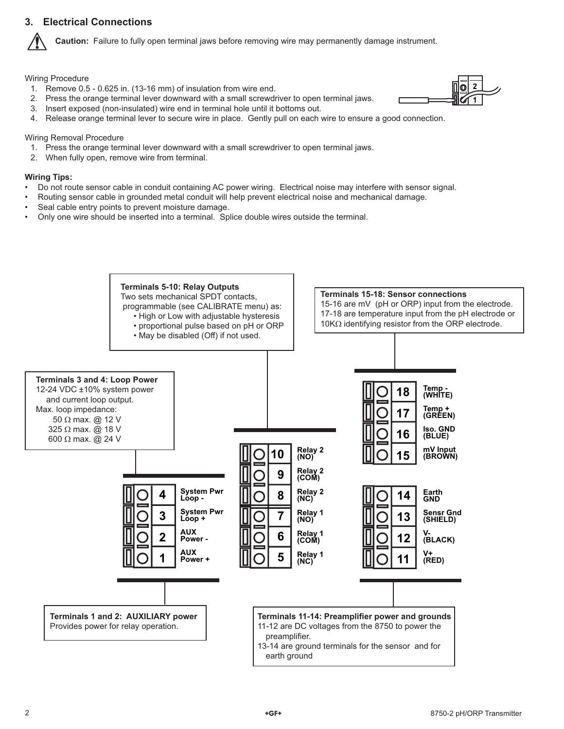## **3. Electrical Connections**

**Caution:** Failure to fully open terminal jaws before removing wire may permanently damage instrument.

Wiring Procedure

- 1. Remove 0.5 0.625 in. (13-16 mm) of insulation from wire end.
- 2. Press the orange terminal lever downward with a small screwdriver to open terminal jaws.
- 3. Insert exposed (non-insulated) wire end in terminal hole until it bottoms out.
- 4. Release orange terminal lever to secure wire in place. Gently pull on each wire to ensure a good connection.

Wiring Removal Procedure

- 1. Press the orange terminal lever downward with a small screwdriver to open terminal jaws.
- 2. When fully open, remove wire from terminal.

#### **Wiring Tips:**

- Do not route sensor cable in conduit containing AC power wiring. Electrical noise may interfere with sensor signal.
- Routing sensor cable in grounded metal conduit will help prevent electrical noise and mechanical damage.
- Seal cable entry points to prevent moisture damage.
- Only one wire should be inserted into a terminal. Splice double wires outside the terminal.



2 8750-2 pH/ORP Transmitter

**2 1**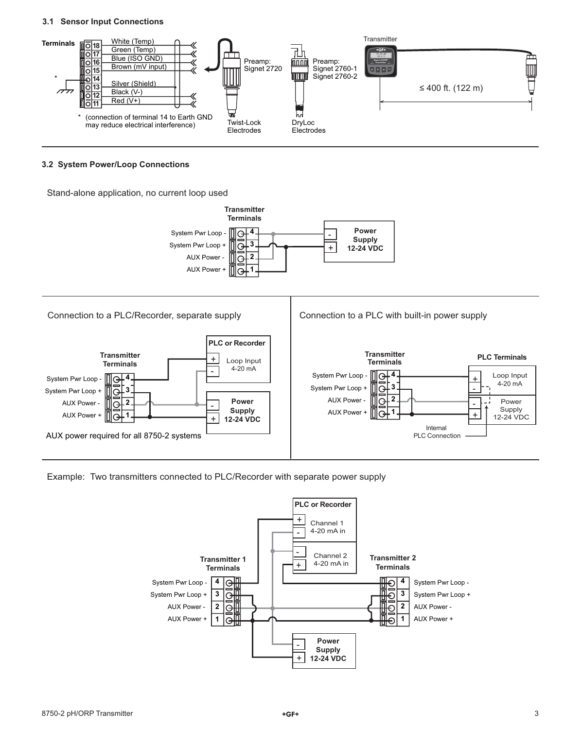#### **3.1 Sensor Input Connections**



#### **3.2 System Power/Loop Connections**

Stand-alone application, no current loop used



Example: Two transmitters connected to PLC/Recorder with separate power supply

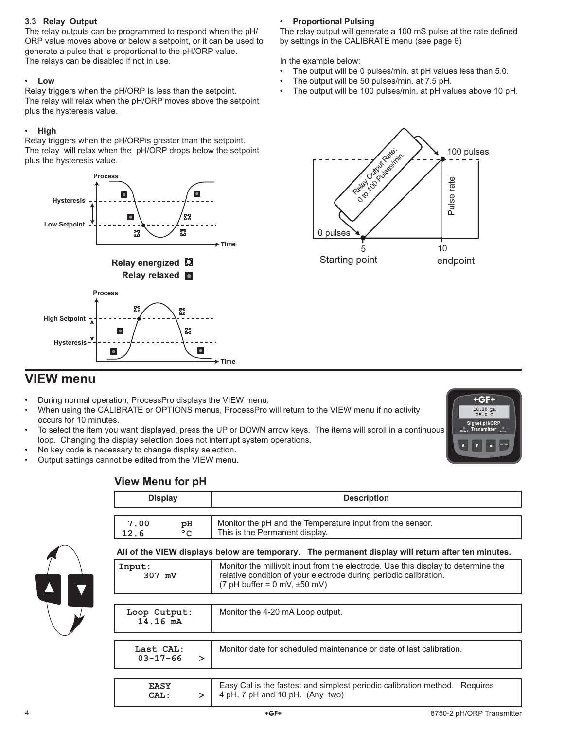### **3.3 Relay Output**

The relay outputs can be programmed to respond when the pH/ ORP value moves above or below a setpoint, or it can be used to generate a pulse that is proportional to the pH/ORP value. The relays can be disabled if not in use.

### • **Low**

Relay triggers when the pH/ORP **i**s less than the setpoint. The relay will relax when the pH/ORP moves above the setpoint plus the hysteresis value.

## • **High**

Relay triggers when the pH/ORPis greater than the setpoint. The relay will relax when the pH/ORP drops below the setpoint plus the hysteresis value.



## • **Proportional Pulsing**

The relay output will generate a 100 mS pulse at the rate defined by settings in the CALIBRATE menu (see page 6)

In the example below:

- The output will be 0 pulses/min. at pH values less than 5.0.
- The output will be 50 pulses/min. at 7.5 pH.
- The output will be 100 pulses/min. at pH values above 10 pH.



# **VIEW menu**

- During normal operation, ProcessPro displays the VIEW menu.
- When using the CALIBRATE or OPTIONS menus, ProcessPro will return to the VIEW menu if no activity occurs for 10 minutes.
- To select the item you want displayed, press the UP or DOWN arrow keys. The items will scroll in a continuous loop. Changing the display selection does not interrupt system operations.
- No key code is necessary to change display selection.
- Output settings cannot be edited from the VIEW menu.



## **View Menu for pH**

|                                    | <b>Display</b>              |        | <b>Description</b>                                                                                                                                                                            |  |
|------------------------------------|-----------------------------|--------|-----------------------------------------------------------------------------------------------------------------------------------------------------------------------------------------------|--|
|                                    |                             |        |                                                                                                                                                                                               |  |
| 7.00<br>pH<br>$^{\circ}$ C<br>12.6 |                             |        | Monitor the pH and the Temperature input from the sensor.<br>This is the Permanent display.                                                                                                   |  |
|                                    |                             |        | All of the VIEW displays below are temporary. The permanent display will return after ten minutes.                                                                                            |  |
|                                    | Input:<br>307 mV            |        | Monitor the millivolt input from the electrode. Use this display to determine the<br>relative condition of your electrode during periodic calibration.<br>$(7$ pH buffer = 0 mV, $\pm 50$ mV) |  |
|                                    |                             |        |                                                                                                                                                                                               |  |
| Loop Output:<br>14.16 mA           |                             |        | Monitor the 4-20 mA Loop output.                                                                                                                                                              |  |
|                                    |                             |        |                                                                                                                                                                                               |  |
|                                    | Last CAL:<br>$03 - 17 - 66$ | $\geq$ | Monitor date for scheduled maintenance or date of last calibration.                                                                                                                           |  |
|                                    |                             |        |                                                                                                                                                                                               |  |
|                                    | <b>EASY</b><br>CAL:         | ≻      | Easy Cal is the fastest and simplest periodic calibration method. Requires<br>4 pH, 7 pH and 10 pH. (Any two)                                                                                 |  |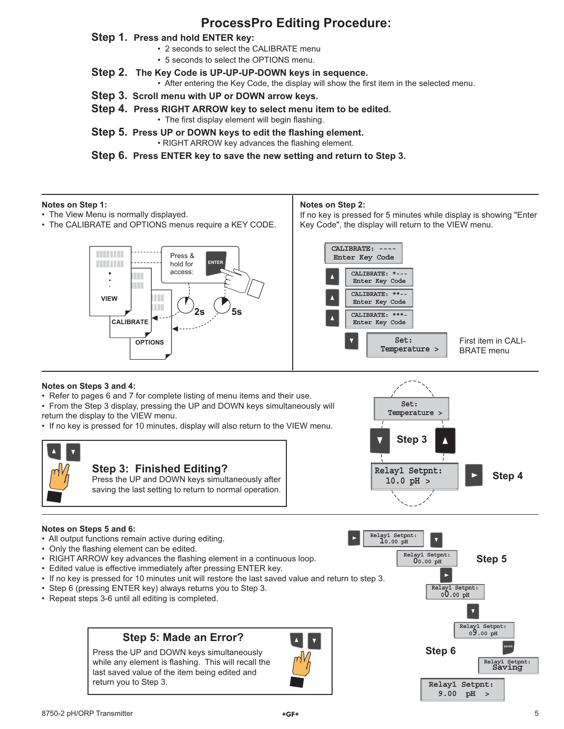# **ProcessPro Editing Procedure:**

### **Step 1. Press and hold ENTER key:**

- 2 seconds to select the CALIBRATE menu
- 5 seconds to select the OPTIONS menu.
- **Step 2. The Key Code is UP-UP-UP-DOWN keys in sequence.**
	- After entering the Key Code, the display will show the first item in the selected menu.
- **Step 3. Scroll menu with UP or DOWN arrow keys.**
- **Step 4. Press RIGHT ARROW key to select menu item to be edited.** • The first display element will begin flashing.
- **Step 5. Press UP or DOWN keys to edit the flashing element.** • RIGHT ARROW key advances the flashing element.

**Step 6. Press ENTER key to save the new setting and return to Step 3.**

### **Notes on Step 1:**

- The View Menu is normally displayed.
- The CALIBRATE and OPTIONS menus require a KEY CODE.

### **Notes on Step 2:**

If no key is pressed for 5 minutes while display is showing "Enter Key Code", the display will return to the VIEW menu.



### **Notes on Steps 3 and 4:**

• Refer to pages 6 and 7 for complete listing of menu items and their use.

• From the Step 3 display, pressing the UP and DOWN keys simultaneously will return the display to the VIEW menu.

• If no key is pressed for 10 minutes, display will also return to the VIEW menu.





### **Notes on Steps 5 and 6:**

- All output functions remain active during editing.
- Only the flashing element can be edited.
- RIGHT ARROW key advances the flashing element in a continuous loop.
- Edited value is effective immediately after pressing ENTER key.
- If no key is pressed for 10 minutes unit will restore the last saved value and return to step 3.
- Step 6 (pressing ENTER key) always returns you to Step 3.
- Repeat steps 3-6 until all editing is completed.

## **Step 5: Made an Error?**

Press the UP and DOWN keys simultaneously while any element is flashing. This will recall the last saved value of the item being edited and return you to Step 3.



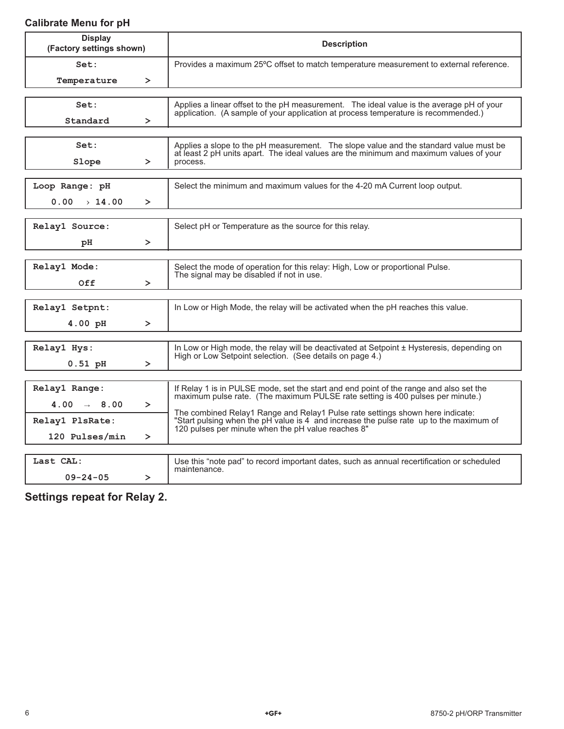## **Calibrate Menu for pH**

| <b>Display</b><br>(Factory settings shown) |        | <b>Description</b>                                                                                                                                                              |  |
|--------------------------------------------|--------|---------------------------------------------------------------------------------------------------------------------------------------------------------------------------------|--|
| Set:                                       |        | Provides a maximum 25°C offset to match temperature measurement to external reference.                                                                                          |  |
| Temperature                                | ≻      |                                                                                                                                                                                 |  |
|                                            |        |                                                                                                                                                                                 |  |
| Set:                                       |        | Applies a linear offset to the pH measurement. The ideal value is the average pH of your<br>application. (A sample of your application at process temperature is recommended.)  |  |
| Standard                                   | ≻      |                                                                                                                                                                                 |  |
|                                            |        |                                                                                                                                                                                 |  |
| Set:                                       |        | Applies a slope to the pH measurement. The slope value and the standard value must be<br>at least 2 pH units apart. The ideal values are the minimum and maximum values of your |  |
| Slope                                      | $\geq$ | process.                                                                                                                                                                        |  |
|                                            |        |                                                                                                                                                                                 |  |
| Loop Range: pH                             |        | Select the minimum and maximum values for the 4-20 mA Current loop output.                                                                                                      |  |
| 0.00<br>$\rightarrow 14.00$                | $\geq$ |                                                                                                                                                                                 |  |
|                                            |        |                                                                                                                                                                                 |  |
| Relay1 Source:                             |        | Select pH or Temperature as the source for this relay.                                                                                                                          |  |
| рH                                         | $\geq$ |                                                                                                                                                                                 |  |
|                                            |        |                                                                                                                                                                                 |  |
| Relay1 Mode:                               |        | Select the mode of operation for this relay: High, Low or proportional Pulse.                                                                                                   |  |
| Off                                        | $\geq$ | The signal may be disabled if not in use.                                                                                                                                       |  |
|                                            |        |                                                                                                                                                                                 |  |
| Relay1 Setpnt:                             |        | In Low or High Mode, the relay will be activated when the pH reaches this value.                                                                                                |  |
| 4.00 pH                                    | $\geq$ |                                                                                                                                                                                 |  |
|                                            |        |                                                                                                                                                                                 |  |
| Relay1 Hys:                                |        | In Low or High mode, the relay will be deactivated at Setpoint ± Hysteresis, depending on                                                                                       |  |
| $0.51$ pH                                  | $\geq$ | High or Low Setpoint selection. (See details on page 4.)                                                                                                                        |  |
|                                            |        |                                                                                                                                                                                 |  |
| Relay1 Range:                              |        | If Relay 1 is in PULSE mode, set the start and end point of the range and also set the                                                                                          |  |
| 4.00 $\rightarrow$ 8.00                    | $\geq$ | maximum pulse rate. (The maximum PULSE rate setting is 400 pulses per minute.)                                                                                                  |  |
| Relay1 PlsRate:                            |        | The combined Relay1 Range and Relay1 Pulse rate settings shown here indicate:<br>"Start pulsing when the pH value is 4 and increase the pulse rate up to the maximum of         |  |
| 120 Pulses/min                             | $\geq$ | 120 pulses per minute when the pH value reaches 8"                                                                                                                              |  |
|                                            |        |                                                                                                                                                                                 |  |
| Last CAL:                                  |        | Use this "note pad" to record important dates, such as annual recertification or scheduled                                                                                      |  |

**Settings repeat for Relay 2.**

 **09-24-05 >** 

maintenance.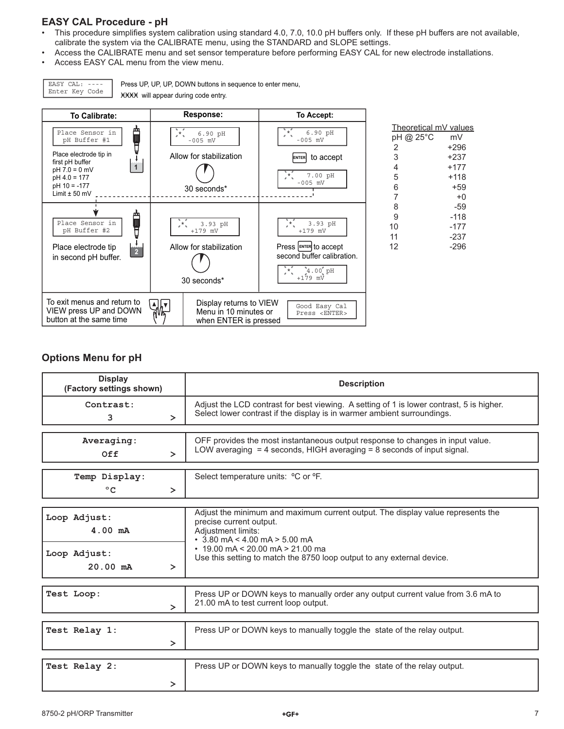## **EASY CAL Procedure - pH**

- This procedure simplifies system calibration using standard 4.0, 7.0, 10.0 pH buffers only. If these pH buffers are not available, calibrate the system via the CALIBRATE menu, using the STANDARD and SLOPE settings.
- Access the CALIBRATE menu and set sensor temperature before performing EASY CAL for new electrode installations.
- Access EASY CAL menu from the view menu.

EASY CAL: ---- Enter Key Code Press UP, UP, UP, DOWN buttons in sequence to enter menu, XXXX will appear during code entry.



### **Options Menu for pH**

| <b>Display</b><br>(Factory settings shown) | <b>Description</b>                                                                                                                                                  |  |
|--------------------------------------------|---------------------------------------------------------------------------------------------------------------------------------------------------------------------|--|
| Contrast:<br>3<br>$\geq$                   | Adjust the LCD contrast for best viewing. A setting of 1 is lower contrast, 5 is higher.<br>Select lower contrast if the display is in warmer ambient surroundings. |  |
|                                            |                                                                                                                                                                     |  |
| Averaging:                                 | OFF provides the most instantaneous output response to changes in input value.                                                                                      |  |
| Off<br>$\geq$                              | LOW averaging $=$ 4 seconds, HIGH averaging $=$ 8 seconds of input signal.                                                                                          |  |
|                                            |                                                                                                                                                                     |  |
| Temp Display:                              | Select temperature units: <sup>o</sup> C or <sup>o</sup> F.                                                                                                         |  |
| $^{\circ}$ C<br>$\geq$                     |                                                                                                                                                                     |  |
|                                            |                                                                                                                                                                     |  |
| Loop Adjust:                               | Adjust the minimum and maximum current output. The display value represents the                                                                                     |  |
|                                            | precise current output.                                                                                                                                             |  |
| $4.00$ mA                                  | Adjustment limits:<br>$\cdot$ 3.80 mA < 4.00 mA > 5.00 mA                                                                                                           |  |
|                                            | $\cdot$ 19.00 mA < 20.00 mA > 21.00 ma<br>Use this setting to match the 8750 loop output to any external device.                                                    |  |
| Loop Adjust:                               |                                                                                                                                                                     |  |
| $20.00$ mA<br>$\geq$                       |                                                                                                                                                                     |  |
|                                            |                                                                                                                                                                     |  |
| Test Loop:                                 | Press UP or DOWN keys to manually order any output current value from 3.6 mA to                                                                                     |  |
| ⋗                                          | 21.00 mA to test current loop output.                                                                                                                               |  |
|                                            |                                                                                                                                                                     |  |
| Test Relay 1:                              | Press UP or DOWN keys to manually toggle the state of the relay output.                                                                                             |  |
| $\geq$                                     |                                                                                                                                                                     |  |
|                                            |                                                                                                                                                                     |  |
| Test Relay 2:                              | Press UP or DOWN keys to manually toggle the state of the relay output.                                                                                             |  |
|                                            |                                                                                                                                                                     |  |
| ≻                                          |                                                                                                                                                                     |  |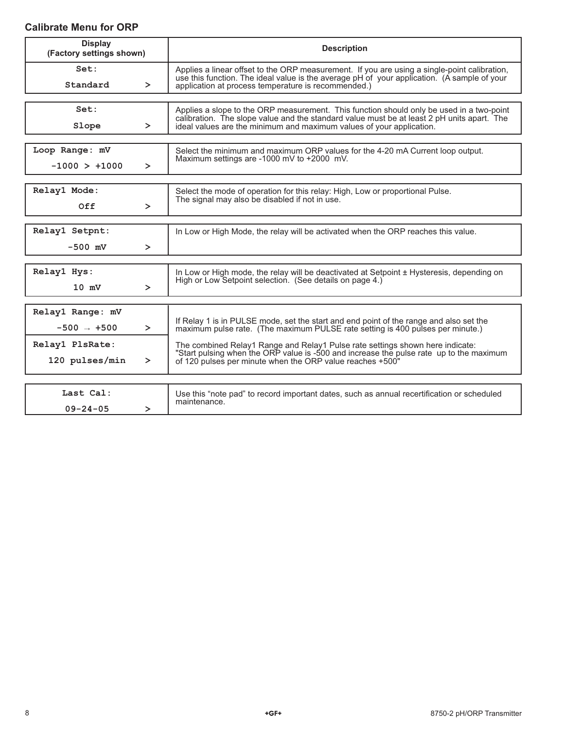## **Calibrate Menu for ORP**

| <b>Display</b><br>(Factory settings shown) | <b>Description</b>                                                                                                                                                                                                                                 |  |
|--------------------------------------------|----------------------------------------------------------------------------------------------------------------------------------------------------------------------------------------------------------------------------------------------------|--|
| Set:<br>Standard<br>$\geq$                 | Applies a linear offset to the ORP measurement. If you are using a single-point calibration,<br>use this function. The ideal value is the average pH of your application. (A sample of your<br>application at process temperature is recommended.) |  |
|                                            |                                                                                                                                                                                                                                                    |  |
| Set:                                       | Applies a slope to the ORP measurement. This function should only be used in a two-point<br>calibration. The slope value and the standard value must be at least 2 pH units apart. The                                                             |  |
| Slope<br>$\geq$                            | ideal values are the minimum and maximum values of your application.                                                                                                                                                                               |  |
|                                            |                                                                                                                                                                                                                                                    |  |
| Loop Range: mV                             | Select the minimum and maximum ORP values for the 4-20 mA Current loop output.                                                                                                                                                                     |  |
| $-1000 > +1000$<br>$\geq$                  | Maximum settings are -1000 mV to +2000 mV.                                                                                                                                                                                                         |  |
|                                            |                                                                                                                                                                                                                                                    |  |
| Relay1 Mode:                               | Select the mode of operation for this relay: High, Low or proportional Pulse.<br>The signal may also be disabled if not in use.                                                                                                                    |  |
| Off<br>$\geq$                              |                                                                                                                                                                                                                                                    |  |
|                                            |                                                                                                                                                                                                                                                    |  |
| Relay1 Setpnt:                             | In Low or High Mode, the relay will be activated when the ORP reaches this value.                                                                                                                                                                  |  |
| $-500$ mV<br>$\geq$                        |                                                                                                                                                                                                                                                    |  |
|                                            |                                                                                                                                                                                                                                                    |  |
| Relay1 Hys:                                | In Low or High mode, the relay will be deactivated at Setpoint ± Hysteresis, depending on<br>High or Low Setpoint selection. (See details on page 4.)                                                                                              |  |
| $10 \text{ mV}$<br>$\geq$                  |                                                                                                                                                                                                                                                    |  |
|                                            |                                                                                                                                                                                                                                                    |  |
| Relay1 Range: mV                           | If Relay 1 is in PULSE mode, set the start and end point of the range and also set the                                                                                                                                                             |  |
| $-500 \rightarrow +500$<br>$\geq$          | maximum pulse rate. (The maximum PULSE rate setting is 400 pulses per minute.)                                                                                                                                                                     |  |
| Relay1 PlsRate:                            | The combined Relay1 Range and Relay1 Pulse rate settings shown here indicate:                                                                                                                                                                      |  |
| 120 pulses/min<br>≻                        | "Start pulsing when the ORP value is -500 and increase the pulse rate up to the maximum<br>of 120 pulses per minute when the ORP value reaches +500"                                                                                               |  |
|                                            |                                                                                                                                                                                                                                                    |  |
| Last Cal:                                  | Use this "note pad" to record important dates, such as annual recertification or scheduled<br>maintenance.                                                                                                                                         |  |
| $09 - 24 - 05$<br>≻                        |                                                                                                                                                                                                                                                    |  |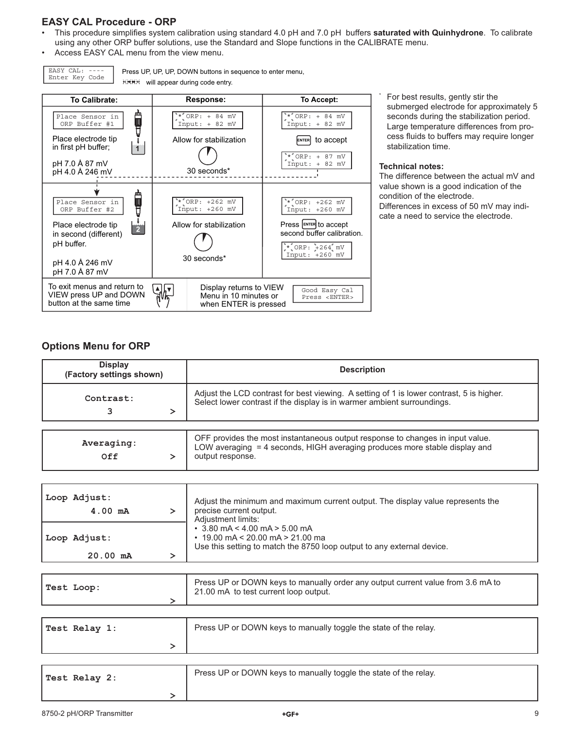## **EASY CAL Procedure - ORP**

- This procedure simplifies system calibration using standard 4.0 pH and 7.0 pH buffers **saturated with Quinhydrone**. To calibrate using any other ORP buffer solutions, use the Standard and Slope functions in the CALIBRATE menu.
- Access EASY CAL menu from the view menu.

EASY CAL: ---- Enter Key Code

Press UP, UP, UP, DOWN buttons in sequence to enter menu, **WHICH will appear during code entry.** 



 For best results, gently stir the submerged electrode for approximately 5 seconds during the stabilization period. Large temperature differences from process fluids to buffers may require longer stabilization time.

#### **Technical notes:**

\*

The difference between the actual mV and value shown is a good indication of the condition of the electrode. Differences in excess of 50 mV may indicate a need to service the electrode.

## **Options Menu for ORP**

| <b>Display</b><br>(Factory settings shown)  | <b>Description</b>                                                                                                                                                                                                                                                                          |
|---------------------------------------------|---------------------------------------------------------------------------------------------------------------------------------------------------------------------------------------------------------------------------------------------------------------------------------------------|
| Contrast:<br>3<br>$\geq$                    | Adjust the LCD contrast for best viewing. A setting of 1 is lower contrast, 5 is higher.<br>Select lower contrast if the display is in warmer ambient surroundings.                                                                                                                         |
|                                             |                                                                                                                                                                                                                                                                                             |
| Averaging:<br>0ff<br>$\geq$                 | OFF provides the most instantaneous output response to changes in input value.<br>LOW averaging = 4 seconds, HIGH averaging produces more stable display and<br>output response.                                                                                                            |
|                                             |                                                                                                                                                                                                                                                                                             |
| Loop Adjust:<br>$4.00 \text{ mA}$<br>$\geq$ | Adjust the minimum and maximum current output. The display value represents the<br>precise current output.<br>Adjustment limits:<br>$\cdot$ 3.80 mA < 4.00 mA > 5.00 mA<br>$\cdot$ 19.00 mA < 20.00 mA > 21.00 ma<br>Use this setting to match the 8750 loop output to any external device. |
| Loop Adjust:                                |                                                                                                                                                                                                                                                                                             |
| $20.00$ mA<br>ゝ                             |                                                                                                                                                                                                                                                                                             |

| Test Loop: | Press UP or DOWN keys to manually order any output current value from 3.6 mA to<br>21.00 mA to test current loop output. |  |
|------------|--------------------------------------------------------------------------------------------------------------------------|--|
|            |                                                                                                                          |  |
|            |                                                                                                                          |  |

| Test Relay 1: | Press UP or DOWN keys to manually toggle the state of the relay. |
|---------------|------------------------------------------------------------------|
|               |                                                                  |
|               |                                                                  |

| Test Relay 2: | Press UP or DOWN keys to manually toggle the state of the relay. |
|---------------|------------------------------------------------------------------|
|               |                                                                  |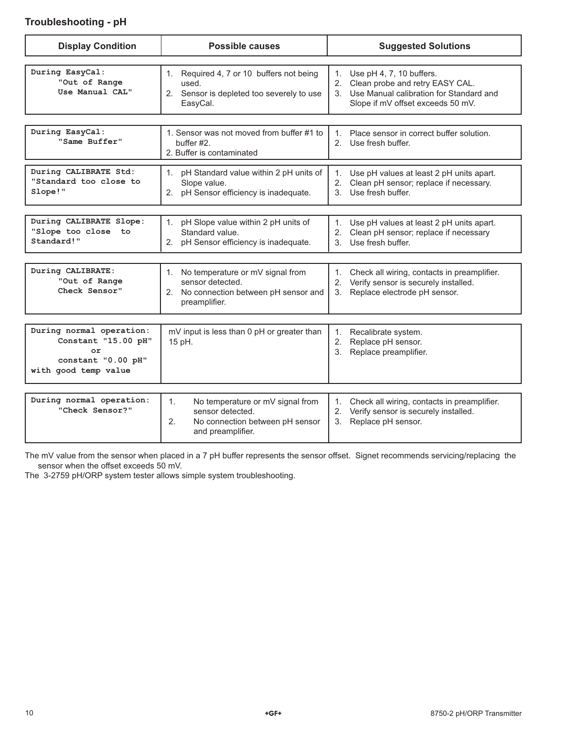## **Troubleshooting - pH**

| <b>Display Condition</b>                                                                            | <b>Possible causes</b>                                                                                                   | <b>Suggested Solutions</b>                                                                                                                           |  |
|-----------------------------------------------------------------------------------------------------|--------------------------------------------------------------------------------------------------------------------------|------------------------------------------------------------------------------------------------------------------------------------------------------|--|
| During EasyCal:<br>"Out of Range<br>Use Manual CAL"                                                 | 1. Required 4, 7 or 10 buffers not being<br>used.<br>2. Sensor is depleted too severely to use<br>EasyCal.               | 1. Use pH 4, 7, 10 buffers.<br>2. Clean probe and retry EASY CAL.<br>3. Use Manual calibration for Standard and<br>Slope if mV offset exceeds 50 mV. |  |
| During EasyCal:<br>"Same Buffer"                                                                    | 1. Sensor was not moved from buffer #1 to<br>buffer #2.<br>2. Buffer is contaminated                                     | Place sensor in correct buffer solution.<br>$1_{-}$<br>2. Use fresh buffer.                                                                          |  |
| During CALIBRATE Std:<br>"Standard too close to<br>Slope!"                                          | 1. pH Standard value within 2 pH units of<br>Slope value.<br>2. pH Sensor efficiency is inadequate.                      | Use pH values at least 2 pH units apart.<br>1.<br>2. Clean pH sensor; replace if necessary.<br>3. Use fresh buffer.                                  |  |
| During CALIBRATE Slope:<br>"Slope too close to<br>Standard!"                                        | pH Slope value within 2 pH units of<br>1.<br>Standard value.<br>2. pH Sensor efficiency is inadequate.                   | Use pH values at least 2 pH units apart.<br>1.<br>2. Clean pH sensor; replace if necessary<br>3. Use fresh buffer.                                   |  |
| During CALIBRATE:<br>"Out of Range<br>Check Sensor"                                                 | 1. No temperature or mV signal from<br>sensor detected.<br>2. No connection between pH sensor and<br>preamplifier.       | 1. Check all wiring, contacts in preamplifier.<br>2. Verify sensor is securely installed.<br>3. Replace electrode pH sensor.                         |  |
| During normal operation:<br>Constant "15.00 pH"<br>or<br>constant "0.00 pH"<br>with good temp value | mV input is less than 0 pH or greater than<br>15 pH.                                                                     | Recalibrate system.<br>1.<br>2. Replace pH sensor.<br>Replace preamplifier.<br>3.                                                                    |  |
| During normal operation:<br>"Check Sensor?"                                                         | No temperature or mV signal from<br>1.<br>sensor detected.<br>2.<br>No connection between pH sensor<br>and preamplifier. | Check all wiring, contacts in preamplifier.<br>$1_{-}$<br>2. Verify sensor is securely installed.<br>3. Replace pH sensor.                           |  |

The mV value from the sensor when placed in a 7 pH buffer represents the sensor offset. Signet recommends servicing/replacing the sensor when the offset exceeds 50 mV.

The 3-2759 pH/ORP system tester allows simple system troubleshooting.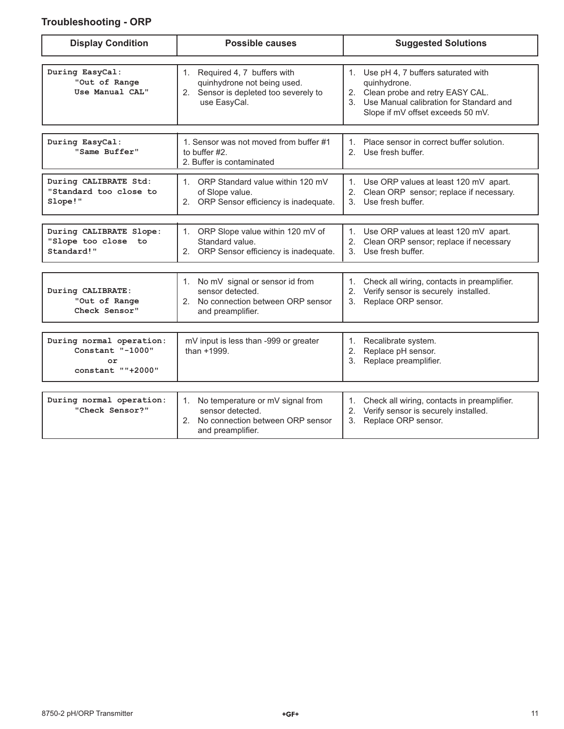## **Troubleshooting - ORP**

| <b>Display Condition</b>                                                | <b>Possible causes</b>                                                                                                             | <b>Suggested Solutions</b>                                                                                                                                                     |
|-------------------------------------------------------------------------|------------------------------------------------------------------------------------------------------------------------------------|--------------------------------------------------------------------------------------------------------------------------------------------------------------------------------|
| During EasyCal:<br>"Out of Range<br>Use Manual CAL"                     | 1. Required 4, 7 buffers with<br>quinhydrone not being used.<br>2. Sensor is depleted too severely to<br>use EasyCal.              | 1. Use pH 4, 7 buffers saturated with<br>quinhydrone.<br>2. Clean probe and retry EASY CAL.<br>3. Use Manual calibration for Standard and<br>Slope if mV offset exceeds 50 mV. |
| During EasyCal:<br>"Same Buffer"                                        | 1. Sensor was not moved from buffer #1<br>to buffer #2.<br>2. Buffer is contaminated                                               | 1. Place sensor in correct buffer solution.<br>2. Use fresh buffer.                                                                                                            |
| During CALIBRATE Std:<br>"Standard too close to<br>Slope!"              | 1. ORP Standard value within 120 mV<br>of Slope value.<br>2. ORP Sensor efficiency is inadequate.                                  | 1. Use ORP values at least 120 mV apart.<br>2. Clean ORP sensor; replace if necessary.<br>3. Use fresh buffer.                                                                 |
| During CALIBRATE Slope:<br>"Slope too close<br>to to<br>Standard!"      | ORP Slope value within 120 mV of<br>1.<br>Standard value.<br>ORP Sensor efficiency is inadequate.<br>2.                            | 1. Use ORP values at least 120 mV apart.<br>2. Clean ORP sensor; replace if necessary<br>3. Use fresh buffer.                                                                  |
| During CALIBRATE:<br>"Out of Range<br>Check Sensor"                     | 1. No mV signal or sensor id from<br>sensor detected.<br>No connection between ORP sensor<br>2.<br>and preamplifier.               | 1. Check all wiring, contacts in preamplifier.<br>2. Verify sensor is securely installed.<br>3. Replace ORP sensor.                                                            |
| During normal operation:<br>Constant "-1000"<br>or<br>constant ""+2000" | mV input is less than -999 or greater<br>than +1999.                                                                               | Recalibrate system.<br>1.<br>Replace pH sensor.<br>2.<br>3 <sub>1</sub><br>Replace preamplifier.                                                                               |
| During normal operation:<br>"Check Sensor?"                             | No temperature or mV signal from<br>1.<br>sensor detected.<br>No connection between ORP sensor<br>$2^{\circ}$<br>and preamplifier. | 1. Check all wiring, contacts in preamplifier.<br>Verify sensor is securely installed.<br>2.<br>3. Replace ORP sensor.                                                         |